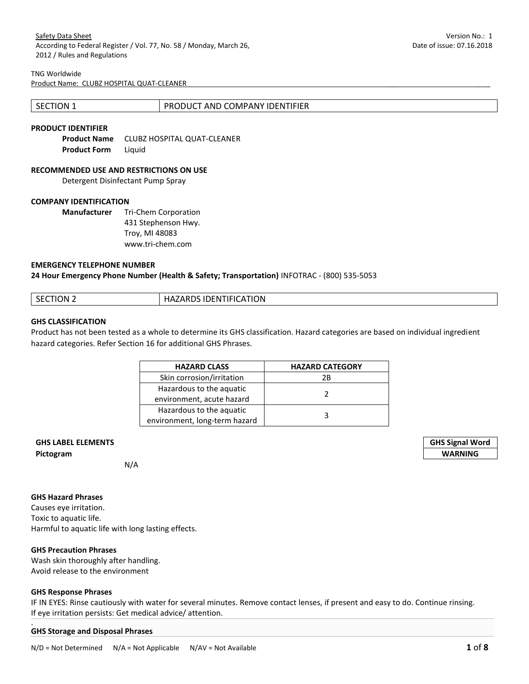### TNG Worldwide

Product Name: CLUBZ HOSPITAL QUAT-CLEANER

| <b>SECTION 1</b> | PRODUCT AND COMPANY IDENTIFIER |
|------------------|--------------------------------|
|                  |                                |

# **PRODUCT IDENTIFIER**

**Product Name** CLUBZ HOSPITAL QUAT-CLEANER **Product Form** Liquid

#### **RECOMMENDED USE AND RESTRICTIONS ON USE**

Detergent Disinfectant Pump Spray

## **COMPANY IDENTIFICATION**

**Manufacturer** Tri-Chem Corporation 431 Stephenson Hwy. Troy, MI 48083 www.tri-chem.com

#### **EMERGENCY TELEPHONE NUMBER**

**24 Hour Emergency Phone Number (Health & Safety; Transportation)** INFOTRAC - (800) 535-5053

| CTION 2<br>SЕ | <b>IDENTIFICATION</b><br><b>ADDC</b><br>ANDJ.<br>ᅚ<br>℩℮୵ |
|---------------|-----------------------------------------------------------|
|               |                                                           |

#### **GHS CLASSIFICATION**

Product has not been tested as a whole to determine its GHS classification. Hazard categories are based on individual ingredient hazard categories. Refer Section 16 for additional GHS Phrases.

| <b>HAZARD CLASS</b>           | <b>HAZARD CATEGORY</b> |
|-------------------------------|------------------------|
| Skin corrosion/irritation     | 2Β                     |
| Hazardous to the aquatic      |                        |
| environment, acute hazard     |                        |
| Hazardous to the aquatic      |                        |
| environment, long-term hazard |                        |

# **GHS LABEL ELEMENTS GHS Signal Word**

N/A

#### **GHS Hazard Phrases**

Causes eye irritation. Toxic to aquatic life. Harmful to aquatic life with long lasting effects.

#### **GHS Precaution Phrases**

Wash skin thoroughly after handling. Avoid release to the environment

## **GHS Response Phrases**

IF IN EYES: Rinse cautiously with water for several minutes. Remove contact lenses, if present and easy to do. Continue rinsing. If eye irritation persists: Get medical advice/ attention.

#### . **GHS Storage and Disposal Phrases**

**Pictogram WARNING**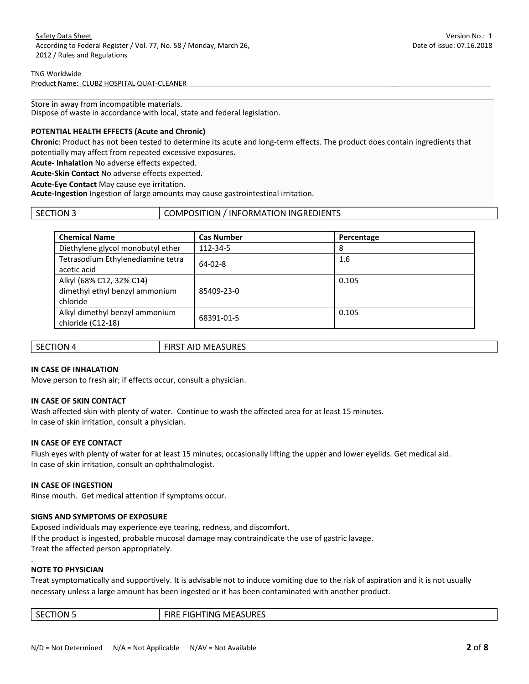Store in away from incompatible materials. Dispose of waste in accordance with local, state and federal legislation.

# **POTENTIAL HEALTH EFFECTS (Acute and Chronic)**

**Chronic**: Product has not been tested to determine its acute and long-term effects. The product does contain ingredients that potentially may affect from repeated excessive exposures.

**Acute- Inhalation** No adverse effects expected.

**Acute-Skin Contact** No adverse effects expected.

**Acute-Eye Contact** May cause eye irritation.

**Acute-Ingestion** Ingestion of large amounts may cause gastrointestinal irritation.

| l section 3 | COMPOSITION / INFORMATION INGREDIENTS |
|-------------|---------------------------------------|
|             |                                       |

| <b>Chemical Name</b>                                                   | <b>Cas Number</b> | Percentage |  |
|------------------------------------------------------------------------|-------------------|------------|--|
| Diethylene glycol monobutyl ether                                      | 112-34-5          | 8          |  |
| Tetrasodium Ethylenediamine tetra<br>acetic acid                       | $64 - 02 - 8$     | 1.6        |  |
| Alkyl (68% C12, 32% C14)<br>dimethyl ethyl benzyl ammonium<br>chloride | 85409-23-0        | 0.105      |  |
| Alkyl dimethyl benzyl ammonium<br>chloride (C12-18)                    | 68391-01-5        | 0.105      |  |

| <b>SECTION 4</b> | <b>FIRST AID MEASURES</b> |
|------------------|---------------------------|
|                  |                           |

# **IN CASE OF INHALATION**

Move person to fresh air; if effects occur, consult a physician.

## **IN CASE OF SKIN CONTACT**

Wash affected skin with plenty of water. Continue to wash the affected area for at least 15 minutes. In case of skin irritation, consult a physician.

## **IN CASE OF EYE CONTACT**

Flush eyes with plenty of water for at least 15 minutes, occasionally lifting the upper and lower eyelids. Get medical aid. In case of skin irritation, consult an ophthalmologist.

## **IN CASE OF INGESTION**

Rinse mouth. Get medical attention if symptoms occur.

## **SIGNS AND SYMPTOMS OF EXPOSURE**

Exposed individuals may experience eye tearing, redness, and discomfort. If the product is ingested, probable mucosal damage may contraindicate the use of gastric lavage. Treat the affected person appropriately.

## **NOTE TO PHYSICIAN**

.

Treat symptomatically and supportively. It is advisable not to induce vomiting due to the risk of aspiration and it is not usually necessary unless a large amount has been ingested or it has been contaminated with another product.

| --<br>MШ<br>эN<br>INIO<br>נאחטי<br>`<br>.<br>$\sim$ $\sim$ $\sim$ $\sim$ $\sim$ |
|---------------------------------------------------------------------------------|
|---------------------------------------------------------------------------------|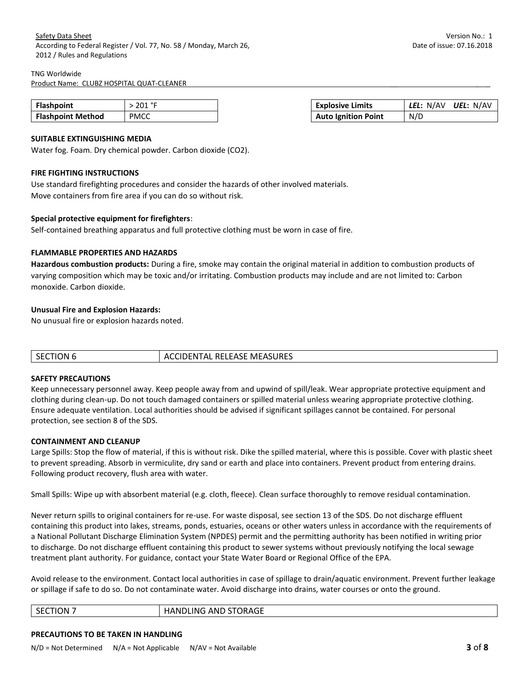#### TNG Worldwide

Product Name: CLUBZ HOSPITAL QUAT-CLEANER

| <b>Flashpoint</b>        | $^{\circ}$<br>201 | <b>Explosive Limits</b>    | N/AV<br>UEL:<br>N/A\ |
|--------------------------|-------------------|----------------------------|----------------------|
| <b>Flashpoint Method</b> | <b>PMCC</b>       | <b>Auto Ignition Point</b> | N/D                  |

## **SUITABLE EXTINGUISHING MEDIA**

Water fog. Foam. Dry chemical powder. Carbon dioxide (CO2).

## **FIRE FIGHTING INSTRUCTIONS**

Use standard firefighting procedures and consider the hazards of other involved materials. Move containers from fire area if you can do so without risk.

## **Special protective equipment for firefighters**:

Self-contained breathing apparatus and full protective clothing must be worn in case of fire.

## **FLAMMABLE PROPERTIES AND HAZARDS**

**Hazardous combustion products:** During a fire, smoke may contain the original material in addition to combustion products of varying composition which may be toxic and/or irritating. Combustion products may include and are not limited to: Carbon monoxide. Carbon dioxide.

## **Unusual Fire and Explosion Hazards:**

No unusual fire or explosion hazards noted.

| $\sqrt{\ }$ SECTION $\sqrt{ }$ | ACCIDENTAL RELEASE MEASURES |
|--------------------------------|-----------------------------|

## **SAFETY PRECAUTIONS**

Keep unnecessary personnel away. Keep people away from and upwind of spill/leak. Wear appropriate protective equipment and clothing during clean-up. Do not touch damaged containers or spilled material unless wearing appropriate protective clothing. Ensure adequate ventilation. Local authorities should be advised if significant spillages cannot be contained. For personal protection, see section 8 of the SDS.

## **CONTAINMENT AND CLEANUP**

Large Spills: Stop the flow of material, if this is without risk. Dike the spilled material, where this is possible. Cover with plastic sheet to prevent spreading. Absorb in vermiculite, dry sand or earth and place into containers. Prevent product from entering drains. Following product recovery, flush area with water.

Small Spills: Wipe up with absorbent material (e.g. cloth, fleece). Clean surface thoroughly to remove residual contamination.

Never return spills to original containers for re-use. For waste disposal, see section 13 of the SDS. Do not discharge effluent containing this product into lakes, streams, ponds, estuaries, oceans or other waters unless in accordance with the requirements of a National Pollutant Discharge Elimination System (NPDES) permit and the permitting authority has been notified in writing prior to discharge. Do not discharge effluent containing this product to sewer systems without previously notifying the local sewage treatment plant authority. For guidance, contact your State Water Board or Regional Office of the EPA.

Avoid release to the environment. Contact local authorities in case of spillage to drain/aquatic environment. Prevent further leakage or spillage if safe to do so. Do not contaminate water. Avoid discharge into drains, water courses or onto the ground.

| ١N<br>ш<br>∼<br>-- | $\sim$ $\sim$ $\sim$<br>ANL<br>ING.<br>э IVI с<br>,н<br>-<br>שראיי<br><br>. . |
|--------------------|-------------------------------------------------------------------------------|
|                    |                                                                               |

## **PRECAUTIONS TO BE TAKEN IN HANDLING**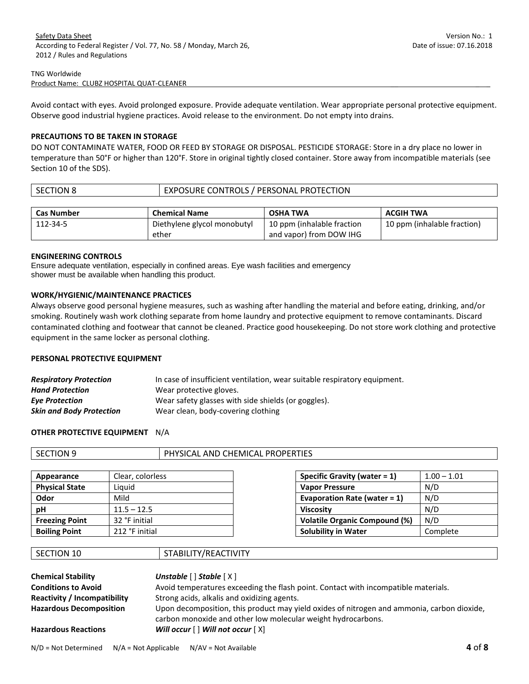Avoid contact with eyes. Avoid prolonged exposure. Provide adequate ventilation. Wear appropriate personal protective equipment. Observe good industrial hygiene practices. Avoid release to the environment. Do not empty into drains.

## **PRECAUTIONS TO BE TAKEN IN STORAGE**

DO NOT CONTAMINATE WATER, FOOD OR FEED BY STORAGE OR DISPOSAL. PESTICIDE STORAGE: Store in a dry place no lower in temperature than 50°F or higher than 120°F. Store in original tightly closed container. Store away from incompatible materials (see Section 10 of the SDS).

| <b>SECTION 8</b>  | EXPOSURE CONTROLS / PERSONAL PROTECTION |                 |           |
|-------------------|-----------------------------------------|-----------------|-----------|
|                   |                                         |                 |           |
|                   |                                         |                 |           |
| <b>Cas Number</b> | <b>Chemical Name</b>                    | <b>OSHA TWA</b> | ACGIH TWA |

and vapor) from DOW IHG

## **ENGINEERING CONTROLS**

Ensure adequate ventilation, especially in confined areas. Eye wash facilities and emergency shower must be available when handling this product.

ether

## **WORK/HYGIENIC/MAINTENANCE PRACTICES**

Always observe good personal hygiene measures, such as washing after handling the material and before eating, drinking, and/or smoking. Routinely wash work clothing separate from home laundry and protective equipment to remove contaminants. Discard contaminated clothing and footwear that cannot be cleaned. Practice good housekeeping. Do not store work clothing and protective equipment in the same locker as personal clothing.

# **PERSONAL PROTECTIVE EQUIPMENT**

| <b>Respiratory Protection</b>   | In case of insufficient ventilation, wear suitable respiratory equipment. |
|---------------------------------|---------------------------------------------------------------------------|
| <b>Hand Protection</b>          | Wear protective gloves.                                                   |
| <b>Eye Protection</b>           | Wear safety glasses with side shields (or goggles).                       |
| <b>Skin and Body Protection</b> | Wear clean, body-covering clothing                                        |

## **OTHER PROTECTIVE EQUIPMENT** N/A

| .ON :<br><b>SEI</b><br>_____ | <b>OPERTIES</b><br>PHYSICAL<br><b>PROPE</b><br><b>CHEMICAL</b><br>AND |
|------------------------------|-----------------------------------------------------------------------|
|                              |                                                                       |

| Appearance            | Clear, colorless | Specific Gravity (water $= 1$ )      | $1.00 - 1.01$ |
|-----------------------|------------------|--------------------------------------|---------------|
| <b>Physical State</b> | Liauid           | <b>Vapor Pressure</b>                | N/D           |
| Odor                  | Mild             | Evaporation Rate (water = $1$ )      | N/D           |
| рH                    | $11.5 - 12.5$    | <b>Viscosity</b>                     | N/D           |
| <b>Freezing Point</b> | 32 °F initial    | <b>Volatile Organic Compound (%)</b> | N/D           |
| <b>Boiling Point</b>  | 212 °F initial   | <b>Solubility in Water</b>           | Complete      |

| Specific Gravity (water $= 1$ )      | $1.00 - 1.01$ |
|--------------------------------------|---------------|
| <b>Vapor Pressure</b>                | N/D           |
| Evaporation Rate (water = $1$ )      | N/D           |
| <b>Viscosity</b>                     | N/D           |
| <b>Volatile Organic Compound (%)</b> | N/D           |
| <b>Solubility in Water</b>           | Complete      |

| SECTION 10 |  |
|------------|--|
|------------|--|

# STABILITY/REACTIVITY

| <b>Chemical Stability</b>           | Unstable $[$ $]$ Stable $[$ $X$ $]$                                                                                                                        |
|-------------------------------------|------------------------------------------------------------------------------------------------------------------------------------------------------------|
| <b>Conditions to Avoid</b>          | Avoid temperatures exceeding the flash point. Contact with incompatible materials.                                                                         |
| <b>Reactivity / Incompatibility</b> | Strong acids, alkalis and oxidizing agents.                                                                                                                |
| <b>Hazardous Decomposition</b>      | Upon decomposition, this product may yield oxides of nitrogen and ammonia, carbon dioxide,<br>carbon monoxide and other low molecular weight hydrocarbons. |
| <b>Hazardous Reactions</b>          | Will occur $[ \ ]$ Will not occur $[ \ X ]$                                                                                                                |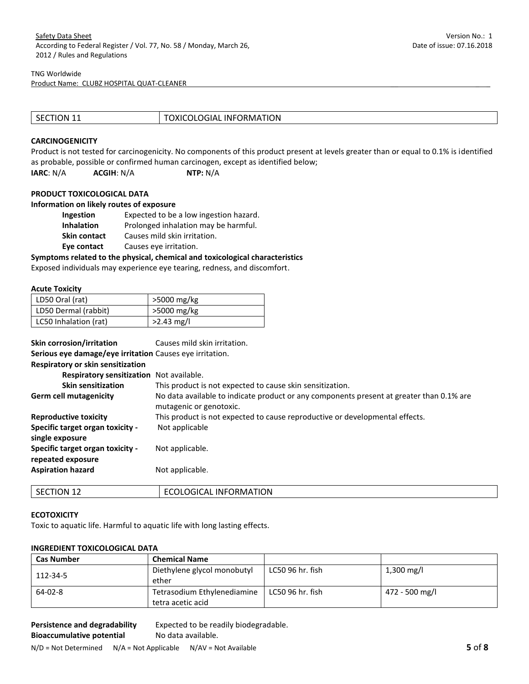#### TNG Worldwide

Product Name: CLUBZ HOSPITAL QUAT-CLEANER

| SECTION 11 | <b>TOXICOLOGIAL INFORMATION</b> |
|------------|---------------------------------|

#### **CARCINOGENICITY**

Product is not tested for carcinogenicity. No components of this product present at levels greater than or equal to 0.1% is identified as probable, possible or confirmed human carcinogen, except as identified below; **IARC**: N/A **ACGIH**: N/A **NTP:** N/A

#### **PRODUCT TOXICOLOGICAL DATA**

# **Information on likely routes of exposure**

| Ingestion           | Expected to be a low ingestion hazard. |
|---------------------|----------------------------------------|
| <b>Inhalation</b>   | Prolonged inhalation may be harmful.   |
| <b>Skin contact</b> | Causes mild skin irritation.           |
| Eye contact         | Causes eye irritation.                 |

#### **Symptoms related to the physical, chemical and toxicological characteristics**

Exposed individuals may experience eye tearing, redness, and discomfort.

#### **Acute Toxicity**

| LD50 Oral (rat)       | >5000 mg/kg  |
|-----------------------|--------------|
| LD50 Dermal (rabbit)  | >5000 mg/kg  |
| LC50 Inhalation (rat) | $>2.43$ mg/l |

| Skin corrosion/irritation<br>Serious eye damage/eye irritation Causes eye irritation. | Causes mild skin irritation.                                                                                        |
|---------------------------------------------------------------------------------------|---------------------------------------------------------------------------------------------------------------------|
| Respiratory or skin sensitization                                                     |                                                                                                                     |
| Respiratory sensitization Not available.                                              |                                                                                                                     |
| <b>Skin sensitization</b>                                                             | This product is not expected to cause skin sensitization.                                                           |
| <b>Germ cell mutagenicity</b>                                                         | No data available to indicate product or any components present at greater than 0.1% are<br>mutagenic or genotoxic. |
| <b>Reproductive toxicity</b>                                                          | This product is not expected to cause reproductive or developmental effects.                                        |
| Specific target organ toxicity -<br>single exposure                                   | Not applicable                                                                                                      |
| Specific target organ toxicity -<br>repeated exposure                                 | Not applicable.                                                                                                     |
| <b>Aspiration hazard</b>                                                              | Not applicable.                                                                                                     |

| . .<br>ON<br>ЪE<br>-- | ATION<br>ORMA.<br>JLOGICAL 'T<br>. INF( |
|-----------------------|-----------------------------------------|
|                       |                                         |

#### **ECOTOXICITY**

Toxic to aquatic life. Harmful to aquatic life with long lasting effects.

# **INGREDIENT TOXICOLOGICAL DATA**

| <b>Cas Number</b> | <b>Chemical Name</b>                             |                  |                |
|-------------------|--------------------------------------------------|------------------|----------------|
| 112-34-5          | Diethylene glycol monobutyl<br>ether             | LC50 96 hr. fish | 1,300 mg/l     |
| $64 - 02 - 8$     | Tetrasodium Ethylenediamine<br>tetra acetic acid | LC50 96 hr. fish | 472 - 500 mg/l |

**Persistence and degradability** Expected to be readily biodegradable. **Bioaccumulative potential** No data available.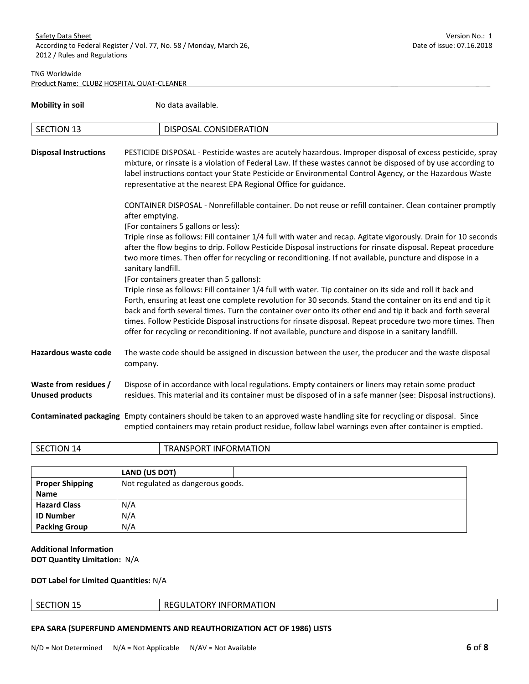| <b>Mobility in soil</b>                         | No data available.                                                                                                                                                                                                                                                                                                                                                                                                                                                                                                                                                                                                              |  |
|-------------------------------------------------|---------------------------------------------------------------------------------------------------------------------------------------------------------------------------------------------------------------------------------------------------------------------------------------------------------------------------------------------------------------------------------------------------------------------------------------------------------------------------------------------------------------------------------------------------------------------------------------------------------------------------------|--|
| <b>SECTION 13</b>                               | DISPOSAL CONSIDERATION                                                                                                                                                                                                                                                                                                                                                                                                                                                                                                                                                                                                          |  |
| <b>Disposal Instructions</b>                    | PESTICIDE DISPOSAL - Pesticide wastes are acutely hazardous. Improper disposal of excess pesticide, spray<br>mixture, or rinsate is a violation of Federal Law. If these wastes cannot be disposed of by use according to<br>label instructions contact your State Pesticide or Environmental Control Agency, or the Hazardous Waste<br>representative at the nearest EPA Regional Office for guidance.                                                                                                                                                                                                                         |  |
|                                                 | CONTAINER DISPOSAL - Nonrefillable container. Do not reuse or refill container. Clean container promptly<br>after emptying.<br>(For containers 5 gallons or less):<br>Triple rinse as follows: Fill container 1/4 full with water and recap. Agitate vigorously. Drain for 10 seconds<br>after the flow begins to drip. Follow Pesticide Disposal instructions for rinsate disposal. Repeat procedure<br>two more times. Then offer for recycling or reconditioning. If not available, puncture and dispose in a                                                                                                                |  |
|                                                 | sanitary landfill.<br>(For containers greater than 5 gallons):<br>Triple rinse as follows: Fill container 1/4 full with water. Tip container on its side and roll it back and<br>Forth, ensuring at least one complete revolution for 30 seconds. Stand the container on its end and tip it<br>back and forth several times. Turn the container over onto its other end and tip it back and forth several<br>times. Follow Pesticide Disposal instructions for rinsate disposal. Repeat procedure two more times. Then<br>offer for recycling or reconditioning. If not available, puncture and dispose in a sanitary landfill. |  |
| Hazardous waste code                            | The waste code should be assigned in discussion between the user, the producer and the waste disposal<br>company.                                                                                                                                                                                                                                                                                                                                                                                                                                                                                                               |  |
| Waste from residues /<br><b>Unused products</b> | Dispose of in accordance with local regulations. Empty containers or liners may retain some product<br>residues. This material and its container must be disposed of in a safe manner (see: Disposal instructions).                                                                                                                                                                                                                                                                                                                                                                                                             |  |
|                                                 | Contaminated packaging Empty containers should be taken to an approved waste handling site for recycling or disposal. Since<br>emptied containers may retain product residue, follow label warnings even after container is emptied.                                                                                                                                                                                                                                                                                                                                                                                            |  |

| эN<br>17 | .<br>.ON.<br>١N۱<br>. |
|----------|-----------------------|
|          |                       |

|                        | LAND (US DOT)                     |  |
|------------------------|-----------------------------------|--|
| <b>Proper Shipping</b> | Not regulated as dangerous goods. |  |
| <b>Name</b>            |                                   |  |
| <b>Hazard Class</b>    | N/A                               |  |
| <b>ID Number</b>       | N/A                               |  |
| <b>Packing Group</b>   | N/A                               |  |

# **Additional Information DOT Quantity Limitation:** N/A

# **DOT Label for Limited Quantities:** N/A

| SECTION 15 | <b>REGULATORY INFORMATION</b> |
|------------|-------------------------------|
|            |                               |

# **EPA SARA (SUPERFUND AMENDMENTS AND REAUTHORIZATION ACT OF 1986) LISTS**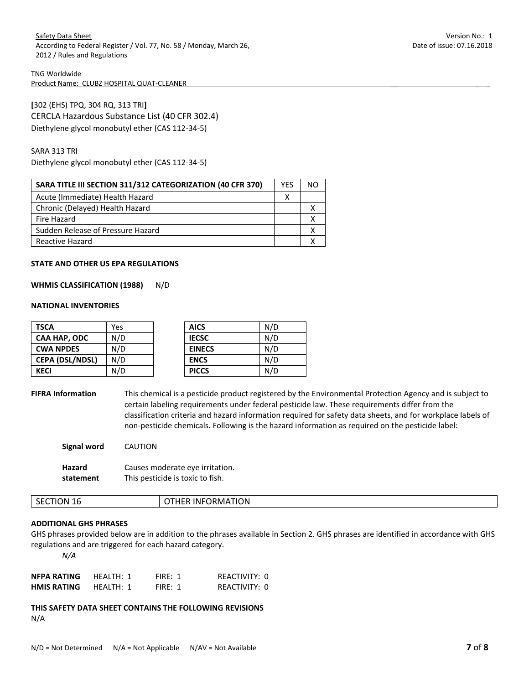**[**302 (EHS) TPQ, 304 RQ, 313 TRI**]**  CERCLA Hazardous Substance List (40 CFR 302.4) Diethylene glycol monobutyl ether (CAS 112-34-5)

SARA 313 TRI

Diethylene glycol monobutyl ether (CAS 112-34-5)

| SARA TITLE III SECTION 311/312 CATEGORIZATION (40 CFR 370) | <b>YFS</b> |  |
|------------------------------------------------------------|------------|--|
| Acute (Immediate) Health Hazard                            |            |  |
| Chronic (Delayed) Health Hazard                            |            |  |
| Fire Hazard                                                |            |  |
| Sudden Release of Pressure Hazard                          |            |  |
| Reactive Hazard                                            |            |  |

#### **STATE AND OTHER US EPA REGULATIONS**

### **WHMIS CLASSIFICATION (1988)** N/D

#### **NATIONAL INVENTORIES**

| <b>TSCA</b>            | Yes | <b>AICS</b>   | N/D |
|------------------------|-----|---------------|-----|
| CAA HAP, ODC           | N/D | <b>IECSC</b>  | N/D |
| <b>CWA NPDES</b>       | N/D | <b>EINECS</b> | N/D |
| <b>CEPA (DSL/NDSL)</b> | N/D | <b>ENCS</b>   | N/D |
| <b>KECI</b>            | N/D | <b>PICCS</b>  | N/D |

**FIFRA Information** This chemical is a pesticide product registered by the Environmental Protection Agency and is subject to certain labeling requirements under federal pesticide law. These requirements differ from the classification criteria and hazard information required for safety data sheets, and for workplace labels of non-pesticide chemicals. Following is the hazard information as required on the pesticide label:

| Signal word   | <b>CAUTION</b>                   |
|---------------|----------------------------------|
| <b>Hazard</b> | Causes moderate eye irritation.  |
| statement     | This pesticide is toxic to fish. |

| ٦N<br>16<br>ш<br>↖<br>. U I<br>◡<br>. | ORMATION<br>. INF′ |
|---------------------------------------|--------------------|
|                                       |                    |

## **ADDITIONAL GHS PHRASES**

GHS phrases provided below are in addition to the phrases available in Section 2. GHS phrases are identified in accordance with GHS regulations and are triggered for each hazard category.

*N/A*

| NFPA RATING        | HFALTH: 1 | FIRF: 1 | REACTIVITY: 0 |
|--------------------|-----------|---------|---------------|
| <b>HMIS RATING</b> | HFALTH: 1 | FIRF: 1 | REACTIVITY: 0 |

**THIS SAFETY DATA SHEET CONTAINS THE FOLLOWING REVISIONS**  N/A